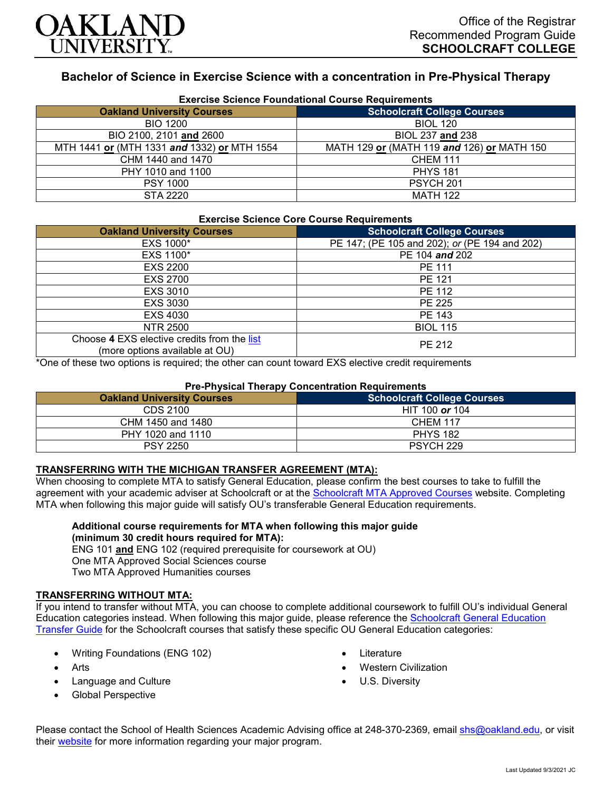

# **Bachelor of Science in Exercise Science with a concentration in Pre-Physical Therapy**

| <b>Exercise Science Foundational Course Requirements</b> |                                            |  |
|----------------------------------------------------------|--------------------------------------------|--|
| <b>Oakland University Courses</b>                        | <b>Schoolcraft College Courses</b>         |  |
| <b>BIO 1200</b>                                          | <b>BIOL 120</b>                            |  |
| BIO 2100, 2101 and 2600                                  | BIOL 237 and 238                           |  |
| MTH 1441 or (MTH 1331 and 1332) or MTH 1554              | MATH 129 or (MATH 119 and 126) or MATH 150 |  |
| CHM 1440 and 1470                                        | <b>CHEM 111</b>                            |  |
| PHY 1010 and 1100                                        | <b>PHYS 181</b>                            |  |
| <b>PSY 1000</b>                                          | PSYCH <sub>201</sub>                       |  |
| STA 2220                                                 | <b>MATH 122</b>                            |  |

### **Exercise Science Core Course Requirements**

| <b>Oakland University Courses</b>                                             | <b>Schoolcraft College Courses</b>            |
|-------------------------------------------------------------------------------|-----------------------------------------------|
| EXS 1000*                                                                     | PE 147; (PE 105 and 202); or (PE 194 and 202) |
| EXS 1100*                                                                     | PE 104 and 202                                |
| <b>EXS 2200</b>                                                               | <b>PE 111</b>                                 |
| <b>EXS 2700</b>                                                               | PE 121                                        |
| EXS 3010                                                                      | PE 112                                        |
| EXS 3030                                                                      | PE 225                                        |
| EXS 4030                                                                      | PE 143                                        |
| <b>NTR 2500</b>                                                               | <b>BIOL 115</b>                               |
| Choose 4 EXS elective credits from the list<br>(more options available at OU) | PE 212                                        |

\*One of these two options is required; the other can count toward EXS elective credit requirements

### **Pre-Physical Therapy Concentration Requirements**

| <b>Oakland University Courses</b> | Schoolcraft College Courses |
|-----------------------------------|-----------------------------|
| CDS 2100                          | HIT 100 or 104              |
| CHM 1450 and 1480                 | <b>CHEM 117</b>             |
| PHY 1020 and 1110                 | <b>PHYS 182</b>             |
| <b>PSY 2250</b>                   | PSYCH 229                   |

### **TRANSFERRING WITH THE MICHIGAN TRANSFER AGREEMENT (MTA):**

When choosing to complete MTA to satisfy General Education, please confirm the best courses to take to fulfill the agreement with your academic adviser at Schoolcraft or at the [Schoolcraft MTA Approved Courses](https://www.schoolcraft.edu/academics/michigan-transfer-agreement) website. Completing MTA when following this major guide will satisfy OU's transferable General Education requirements.

#### **Additional course requirements for MTA when following this major guide (minimum 30 credit hours required for MTA):**

ENG 101 **and** ENG 102 (required prerequisite for coursework at OU) One MTA Approved Social Sciences course Two MTA Approved Humanities courses

### **TRANSFERRING WITHOUT MTA:**

If you intend to transfer without MTA, you can choose to complete additional coursework to fulfill OU's individual General Education categories instead. When following this major guide, please reference the [Schoolcraft General Education](https://www.oakland.edu/Assets/Oakland/program-guides/schoolcraft-college/university-general-education-requirements/Schoolcraft%20Gen%20Ed.pdf)  [Transfer Guide](https://www.oakland.edu/Assets/Oakland/program-guides/schoolcraft-college/university-general-education-requirements/Schoolcraft%20Gen%20Ed.pdf) for the Schoolcraft courses that satisfy these specific OU General Education categories:

- Writing Foundations (ENG 102)
- Arts
- Language and Culture
- Global Perspective
- **Literature**
- Western Civilization
- U.S. Diversity

Please contact the School of Health Sciences Academic Advising office at 248-370-2369, email [shs@oakland.edu,](mailto:shs@oakland.edu) or visit their [website](http://www.oakland.edu/shs/advising) for more information regarding your major program.